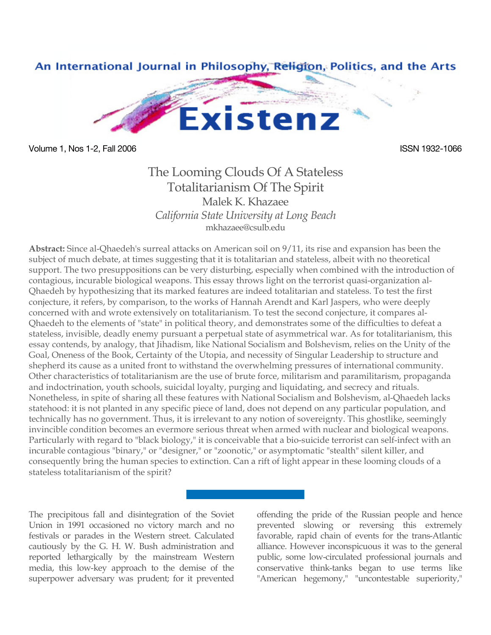

Volume 1, Nos 1-2, Fall 2006 **ISSN 1932-1066** ISSN 1932-1066

## The Looming Clouds Of A Stateless Totalitarianism Of The Spirit Malek K. Khazaee *California State University at Long Beach* mkhazaee@csulb.edu

**Abstract:** Since al-Qhaedeh's surreal attacks on American soil on 9/11, its rise and expansion has been the subject of much debate, at times suggesting that it is totalitarian and stateless, albeit with no theoretical support. The two presuppositions can be very disturbing, especially when combined with the introduction of contagious, incurable biological weapons. This essay throws light on the terrorist quasi-organization al-Qhaedeh by hypothesizing that its marked features are indeed totalitarian and stateless. To test the first conjecture, it refers, by comparison, to the works of Hannah Arendt and Karl Jaspers, who were deeply concerned with and wrote extensively on totalitarianism. To test the second conjecture, it compares al-Qhaedeh to the elements of "state" in political theory, and demonstrates some of the difficulties to defeat a stateless, invisible, deadly enemy pursuant a perpetual state of asymmetrical war. As for totalitarianism, this essay contends, by analogy, that Jihadism, like National Socialism and Bolshevism, relies on the Unity of the Goal, Oneness of the Book, Certainty of the Utopia, and necessity of Singular Leadership to structure and shepherd its cause as a united front to withstand the overwhelming pressures of international community. Other characteristics of totalitarianism are the use of brute force, militarism and paramilitarism, propaganda and indoctrination, youth schools, suicidal loyalty, purging and liquidating, and secrecy and rituals. Nonetheless, in spite of sharing all these features with National Socialism and Bolshevism, al-Qhaedeh lacks statehood: it is not planted in any specific piece of land, does not depend on any particular population, and technically has no government. Thus, it is irrelevant to any notion of sovereignty. This ghostlike, seemingly invincible condition becomes an evermore serious threat when armed with nuclear and biological weapons. Particularly with regard to "black biology," it is conceivable that a bio-suicide terrorist can self-infect with an incurable contagious "binary," or "designer," or "zoonotic," or asymptomatic "stealth" silent killer, and consequently bring the human species to extinction. Can a rift of light appear in these looming clouds of a stateless totalitarianism of the spirit?

The precipitous fall and disintegration of the Soviet Union in 1991 occasioned no victory march and no festivals or parades in the Western street. Calculated cautiously by the G. H. W. Bush administration and reported lethargically by the mainstream Western media, this low-key approach to the demise of the superpower adversary was prudent; for it prevented offending the pride of the Russian people and hence prevented slowing or reversing this extremely favorable, rapid chain of events for the trans-Atlantic alliance. However inconspicuous it was to the general public, some low-circulated professional journals and conservative think-tanks began to use terms like "American hegemony," "uncontestable superiority,"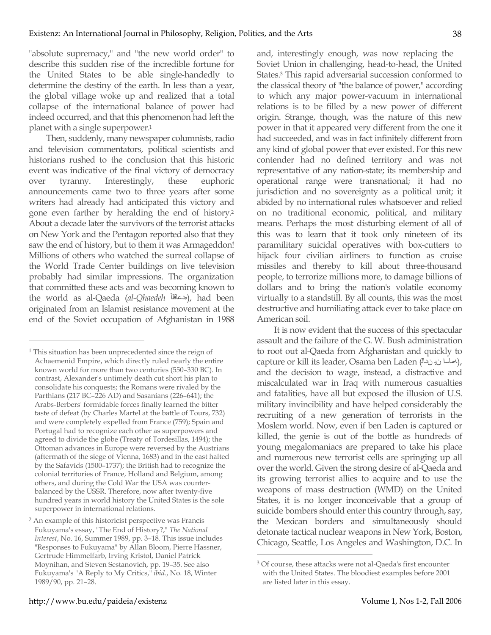"absolute supremacy," and "the new world order" to describe this sudden rise of the incredible fortune for the United States to be able single-handedly to determine the destiny of the earth. In less than a year, the global village woke up and realized that a total collapse of the international balance of power had indeed occurred, and that this phenomenon had left the planet with a single superpower.1

Then, suddenly, many newspaper columnists, radio and television commentators, political scientists and historians rushed to the conclusion that this historic event was indicative of the final victory of democracy over tyranny. Interestingly, these euphoric announcements came two to three years after some writers had already had anticipated this victory and gone even farther by heralding the end of history.2 About a decade later the survivors of the terrorist attacks on New York and the Pentagon reported also that they saw the end of history, but to them it was Armageddon! Millions of others who watched the surreal collapse of the World Trade Center buildings on live television probably had similar impressions. The organization that committed these acts and was becoming known to the world as al-Qaeda (*al-Qhaedeh* هدعاقلآ(, had been originated from an Islamist resistance movement at the end of the Soviet occupation of Afghanistan in 1988

 $\overline{a}$ 

and, interestingly enough, was now replacing the Soviet Union in challenging, head-to-head, the United States.3 This rapid adversarial succession conformed to the classical theory of "the balance of power," according to which any major power-vacuum in international relations is to be filled by a new power of different origin. Strange, though, was the nature of this new power in that it appeared very different from the one it had succeeded, and was in fact infinitely different from any kind of global power that ever existed. For this new contender had no defined territory and was not representative of any nation-state; its membership and operational range were transnational; it had no jurisdiction and no sovereignty as a political unit; it abided by no international rules whatsoever and relied on no traditional economic, political, and military means. Perhaps the most disturbing element of all of this was to learn that it took only nineteen of its paramilitary suicidal operatives with box-cutters to hijack four civilian airliners to function as cruise missiles and thereby to kill about three-thousand people, to terrorize millions more, to damage billions of dollars and to bring the nation's volatile economy virtually to a standstill. By all counts, this was the most destructive and humiliating attack ever to take place on American soil.

It is now evident that the success of this spectacular assault and the failure of the G. W. Bush administration to root out al-Qaeda from Afghanistan and quickly to capture or kill its leader, Osama ben Laden (مصلسا ن نب المماسا), and the decision to wage, instead, a distractive and miscalculated war in Iraq with numerous casualties and fatalities, have all but exposed the illusion of U.S. military invincibility and have helped considerably the recruiting of a new generation of terrorists in the Moslem world. Now, even if ben Laden is captured or killed, the genie is out of the bottle as hundreds of young megalomaniacs are prepared to take his place and numerous new terrorist cells are springing up all over the world. Given the strong desire of al-Qaeda and its growing terrorist allies to acquire and to use the weapons of mass destruction (WMD) on the United States, it is no longer inconceivable that a group of suicide bombers should enter this country through, say, the Mexican borders and simultaneously should detonate tactical nuclear weapons in New York, Boston, Chicago, Seattle, Los Angeles and Washington, D.C. In

<sup>&</sup>lt;sup>1</sup> This situation has been unprecedented since the reign of Achaemenid Empire, which directly ruled nearly the entire known world for more than two centuries (550–330 BC). In contrast, Alexander's untimely death cut short his plan to consolidate his conquests; the Romans were rivaled by the Parthians (217 BC–226 AD) and Sasanians (226–641); the Arabs-Berbers' formidable forces finally learned the bitter taste of defeat (by Charles Martel at the battle of Tours, 732) and were completely expelled from France (759); Spain and Portugal had to recognize each other as superpowers and agreed to divide the globe (Treaty of Tordesillas, 1494); the Ottoman advances in Europe were reversed by the Austrians (aftermath of the siege of Vienna, 1683) and in the east halted by the Safavids (1500–1737); the British had to recognize the colonial territories of France, Holland and Belgium, among others, and during the Cold War the USA was counterbalanced by the USSR. Therefore, now after twenty-five hundred years in world history the United States is the sole superpower in international relations.

<sup>2</sup> An example of this historicist perspective was Francis Fukuyama's essay, "The End of History?," *The National Interest*, No. 16, Summer 1989, pp. 3–18. This issue includes "Responses to Fukuyama" by Allan Bloom, Pierre Hassner, Gertrude Himmelfarb, Irving Kristol, Daniel Patrick Moynihan, and Steven Sestanovich, pp. 19–35. See also Fukuyama's "A Reply to My Critics," *ibid.*, No. 18, Winter 1989/90, pp. 21–28.

 <sup>3</sup> Of course, these attacks were not al-Qaeda's first encounter with the United States. The bloodiest examples before 2001 are listed later in this essay.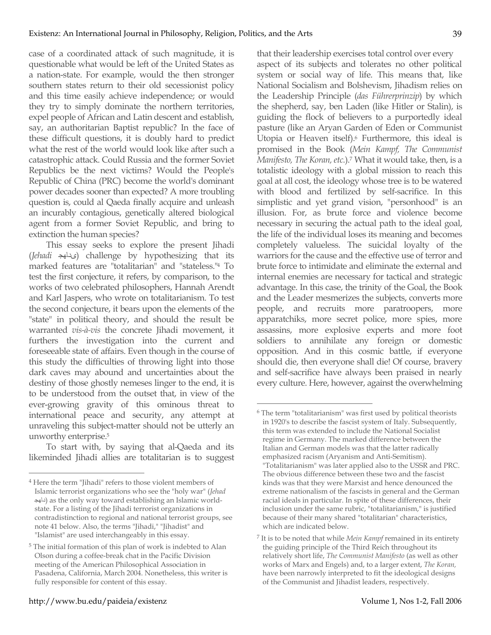case of a coordinated attack of such magnitude, it is questionable what would be left of the United States as a nation-state. For example, would the then stronger southern states return to their old secessionist policy and this time easily achieve independence; or would they try to simply dominate the northern territories, expel people of African and Latin descent and establish, say, an authoritarian Baptist republic? In the face of these difficult questions, it is doubly hard to predict what the rest of the world would look like after such a catastrophic attack. Could Russia and the former Soviet Republics be the next victims? Would the People's Republic of China (PRC) become the world's dominant power decades sooner than expected? A more troubling question is, could al Qaeda finally acquire and unleash an incurably contagious, genetically altered biological agent from a former Soviet Republic, and bring to extinction the human species?

This essay seeks to explore the present Jihadi (*Jehadi* ىداهج (challenge by hypothesizing that its marked features are "totalitarian" and "stateless."4 To test the first conjecture, it refers, by comparison, to the works of two celebrated philosophers, Hannah Arendt and Karl Jaspers, who wrote on totalitarianism. To test the second conjecture, it bears upon the elements of the "state" in political theory, and should the result be warranted *vis-à-vis* the concrete Jihadi movement, it furthers the investigation into the current and foreseeable state of affairs. Even though in the course of this study the difficulties of throwing light into those dark caves may abound and uncertainties about the destiny of those ghostly nemeses linger to the end, it is to be understood from the outset that, in view of the ever-growing gravity of this ominous threat to international peace and security, any attempt at unraveling this subject-matter should not be utterly an unworthy enterprise.5

To start with, by saying that al-Qaeda and its likeminded Jihadi allies are totalitarian is to suggest that their leadership exercises total control over every aspect of its subjects and tolerates no other political system or social way of life. This means that, like National Socialism and Bolshevism, Jihadism relies on the Leadership Principle (*das Führerprinzip*) by which the shepherd, say, ben Laden (like Hitler or Stalin), is guiding the flock of believers to a purportedly ideal pasture (like an Aryan Garden of Eden or Communist Utopia or Heaven itself).6 Furthermore, this ideal is promised in the Book (*Mein Kampf, The Communist Manifesto, The Koran, etc.*).7 What it would take, then, is a totalistic ideology with a global mission to reach this goal at all cost, the ideology whose tree is to be watered with blood and fertilized by self-sacrifice. In this simplistic and yet grand vision, "personhood" is an illusion. For, as brute force and violence become necessary in securing the actual path to the ideal goal, the life of the individual loses its meaning and becomes completely valueless. The suicidal loyalty of the warriors for the cause and the effective use of terror and brute force to intimidate and eliminate the external and internal enemies are necessary for tactical and strategic advantage. In this case, the trinity of the Goal, the Book and the Leader mesmerizes the subjects, converts more people, and recruits more paratroopers, more apparatchiks, more secret police, more spies, more assassins, more explosive experts and more foot soldiers to annihilate any foreign or domestic opposition. And in this cosmic battle, if everyone should die, then everyone shall die! Of course, bravery and self-sacrifice have always been praised in nearly every culture. Here, however, against the overwhelming

 <sup>4</sup> Here the term "Jihadi" refers to those violent members of Islamic terrorist organizations who see the "holy war" (*Jehad*  داهج (as the only way toward establishing an Islamic worldstate. For a listing of the Jihadi terrorist organizations in contradistinction to regional and national terrorist groups, see note 41 below. Also, the terms "Jihadi," "Jihadist" and "Islamist" are used interchangeably in this essay.

<sup>5</sup> The initial formation of this plan of work is indebted to Alan Olson during a coffee-break chat in the Pacific Division meeting of the American Philosophical Association in Pasadena, California, March 2004. Nonetheless, this writer is fully responsible for content of this essay.

 <sup>6</sup> The term "totalitarianism" was first used by political theorists in 1920's to describe the fascist system of Italy. Subsequently, this term was extended to include the National Socialist regime in Germany. The marked difference between the Italian and German models was that the latter radically emphasized racism (Aryanism and Anti-Semitism). "Totalitarianism" was later applied also to the USSR and PRC. The obvious difference between these two and the fascist kinds was that they were Marxist and hence denounced the extreme nationalism of the fascists in general and the German racial ideals in particular. In spite of these differences, their inclusion under the same rubric, "totalitarianism," is justified because of their many shared "totalitarian" characteristics, which are indicated below.

<sup>7</sup> It is to be noted that while *Mein Kampf* remained in its entirety the guiding principle of the Third Reich throughout its relatively short life, *The Communist Manifesto* (as well as other works of Marx and Engels) and, to a larger extent, *The Koran,*  have been narrowly interpreted to fit the ideological designs of the Communist and Jihadist leaders, respectively.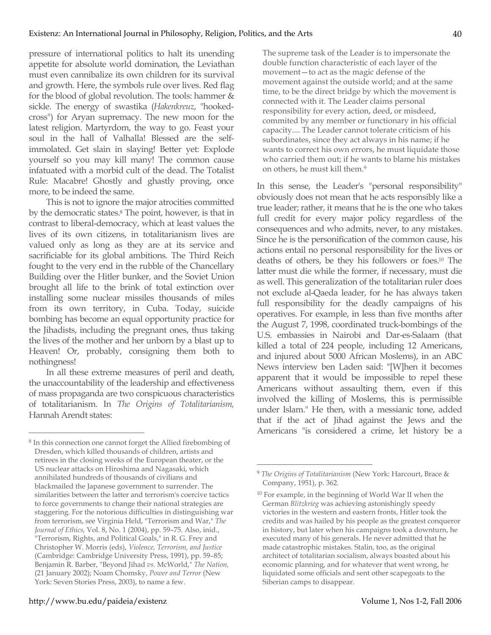pressure of international politics to halt its unending appetite for absolute world domination, the Leviathan must even cannibalize its own children for its survival and growth. Here, the symbols rule over lives. Red flag for the blood of global revolution. The tools: hammer & sickle. The energy of swastika (*Hakenkreuz*, "hookedcross") for Aryan supremacy. The new moon for the latest religion. Martyrdom, the way to go. Feast your soul in the hall of Valhalla! Blessed are the selfimmolated. Get slain in slaying! Better yet: Explode yourself so you may kill many! The common cause infatuated with a morbid cult of the dead. The Totalist Rule: Macabre! Ghostly and ghastly proving, once more, to be indeed the same.

This is not to ignore the major atrocities committed by the democratic states.8 The point, however, is that in contrast to liberal-democracy, which at least values the lives of its own citizens, in totalitarianism lives are valued only as long as they are at its service and sacrificiable for its global ambitions. The Third Reich fought to the very end in the rubble of the Chancellary Building over the Hitler bunker, and the Soviet Union brought all life to the brink of total extinction over installing some nuclear missiles thousands of miles from its own territory, in Cuba. Today, suicide bombing has become an equal opportunity practice for the Jihadists, including the pregnant ones, thus taking the lives of the mother and her unborn by a blast up to Heaven! Or, probably, consigning them both to nothingness!

In all these extreme measures of peril and death, the unaccountability of the leadership and effectiveness of mass propaganda are two conspicuous characteristics of totalitarianism. In *The Origins of Totalitarianism,*  Hannah Arendt states:

The supreme task of the Leader is to impersonate the double function characteristic of each layer of the movement—to act as the magic defense of the movement against the outside world; and at the same time, to be the direct bridge by which the movement is connected with it. The Leader claims personal responsibility for every action, deed, or misdeed, commited by any member or functionary in his official capacity.... The Leader cannot tolerate criticism of his subordinates, since they act always in his name; if he wants to correct his own errors, he must liquidate those who carried them out; if he wants to blame his mistakes on others, he must kill them.9

In this sense, the Leader's "personal responsibility" obviously does not mean that he acts responsibly like a true leader; rather, it means that he is the one who takes full credit for every major policy regardless of the consequences and who admits, never, to any mistakes. Since he is the personification of the common cause, his actions entail no personal responsibility for the lives or deaths of others, be they his followers or foes.10 The latter must die while the former, if necessary, must die as well. This generalization of the totalitarian ruler does not exclude al-Qaeda leader, for he has always taken full responsibility for the deadly campaigns of his operatives. For example, in less than five months after the August 7, 1998, coordinated truck-bombings of the U.S. embassies in Nairobi and Dar-es-Salaam (that killed a total of 224 people, including 12 Americans, and injured about 5000 African Moslems), in an ABC News interview ben Laden said: "[W]hen it becomes apparent that it would be impossible to repel these Americans without assaulting them, even if this involved the killing of Moslems, this is permissible under Islam." He then, with a messianic tone, added that if the act of Jihad against the Jews and the Americans "is considered a crime, let history be a

 <sup>8</sup> In this connection one cannot forget the Allied firebombing of Dresden, which killed thousands of children, artists and retirees in the closing weeks of the European theater, or the US nuclear attacks on Hiroshima and Nagasaki, which annihilated hundreds of thousands of civilians and blackmailed the Japanese government to surrender. The similarities between the latter and terrorism's coercive tactics to force governments to change their national strategies are staggering. For the notorious difficulties in distinguishing war from terrorism, see Virginia Held, "Terrorism and War," *The Journal of Ethics,* Vol. 8, No. 1 (2004), pp. 59–75. Also, inid., "Terrorism, Rights, and Political Goals," in R. G. Frey and Christopher W. Morris (eds), *Violence, Terrorism, and Justice*  (Cambridge: Cambridge University Press, 1991), pp. 59–85; Benjamin R. Barber, "Beyond Jihad *vs.* McWorld," *The Nation,*  (21 January 2002); Noam Chomsky, *Power and Terror* (New York: Seven Stories Press, 2003), to name a few.

 <sup>9</sup> *The Origins of Totalitarianism* (New York: Harcourt, Brace & Company, 1951), p. 362.

<sup>10</sup> For example, in the beginning of World War II when the German *Blitzkrieg* was achieving astonishingly speedy victories in the western and eastern fronts, Hitler took the credits and was hailed by his people as the greatest conqueror in history, but later when his campaigns took a downturn, he executed many of his generals. He never admitted that he made catastrophic mistakes. Stalin, too, as the original architect of totalitarian socialism, always boasted about his economic planning, and for whatever that went wrong, he liquidated some officials and sent other scapegoats to the Siberian camps to disappear.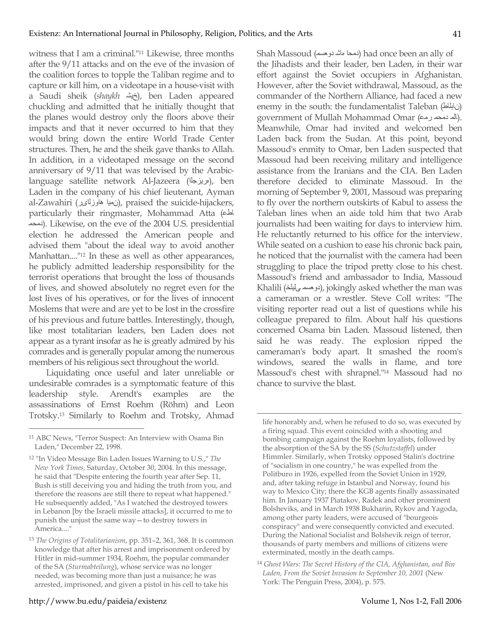witness that I am a criminal."11 Likewise, three months after the 9/11 attacks and on the eve of the invasion of the coalition forces to topple the Taliban regime and to capture or kill him, on a videotape in a house-visit with a Saudi sheik (shaykh خيش), ben Laden appeared chuckling and admitted that he initially thought that the planes would destroy only the floors above their impacts and that it never occurred to him that they would bring down the entire World Trade Center structures. Then, he and the sheik gave thanks to Allah. In addition, in a videotaped message on the second anniversary of 9/11 that was televised by the Arabiclanguage satellite network Al-Jazeera (هريزجلا(, ben Laden in the company of his chief lieutenant, Ayman al-Zawahiri (نميا هاوزلاىر), praised the suicide-hijackers, particularly their ringmaster, Mohammad Atta (اطع دمحم(. Likewise, on the eve of the 2004 U.S. presidential election he addressed the American people and advised them "about the ideal way to avoid another Manhattan....<sup>"12</sup> In these as well as other appearances, he publicly admitted leadership responsibility for the terrorist operations that brought the loss of thousands of lives, and showed absolutely no regret even for the lost lives of his operatives, or for the lives of innocent Moslems that were and are yet to be lost in the crossfire of his previous and future battles. Interestingly, though, like most totalitarian leaders, ben Laden does not appear as a tyrant insofar as he is greatly admired by his comrades and is generally popular among the numerous members of his religious sect throughout the world.

Liquidating once useful and later unreliable or undesirable comrades is a symptomatic feature of this leadership style. Arendt's examples are the assassinations of Ernst Roehm (Röhm) and Leon Trotsky.13 Similarly to Roehm and Trotsky, Ahmad Shah Massoud (دوعسم هاش دمحا (had once been an ally of the Jihadists and their leader, ben Laden, in their war effort against the Soviet occupiers in Afghanistan. However, after the Soviet withdrawal, Massoud, as the commander of the Northern Alliance, had faced a new enemy in the south: the fundamentalist Taleban (نابلاط ( government of Mullah Mohammad Omar (المددمحم رمع). Meanwhile, Omar had invited and welcomed ben Laden back from the Sudan. At this point, beyond Massoud's enmity to Omar, ben Laden suspected that Massoud had been receiving military and intelligence assistance from the Iranians and the CIA. Ben Laden therefore decided to eliminate Massoud. In the morning of September 9, 2001, Massoud was preparing to fly over the northern outskirts of Kabul to assess the Taleban lines when an aide told him that two Arab journalists had been waiting for days to interview him. He reluctantly returned to his office for the interview. While seated on a cushion to ease his chronic back pain, he noticed that the journalist with the camera had been struggling to place the tripod pretty close to his chest. Massoud's friend and ambassador to India, Massoud Khalili (دوعسم لللخ), jokingly asked whether the man was a cameraman or a wrestler. Steve Coll writes: "The visiting reporter read out a list of questions while his colleague prepared to film. About half his questions concerned Osama bin Laden. Massoud listened, then said he was ready. The explosion ripped the cameraman's body apart. It smashed the room's windows, seared the walls in flame, and tore Massoud's chest with shrapnel."14 Massoud had no chance to survive the blast.

life honorably and, when he refused to do so, was executed by a firing squad. This event coincided with a shooting and bombing campaign against the Roehm loyalists, followed by the absorption of the SA by the SS (*Schutzstaffel*) under Himmler. Similarly, when Trotsky opposed Stalin's doctrine of "socialism in one country," he was expelled from the Politburo in 1926, expelled from the Soviet Union in 1929, and, after taking refuge in Istanbul and Norway, found his way to Mexico City; there the KGB agents finally assassinated him. In January 1937 Piatakov, Radek and other prominent Bolsheviks, and in March 1938 Bukharin, Rykov and Yagoda, among other party leaders, were accused of "bourgeois conspiracy" and were consequently convicted and executed. During the National Socialist and Bolshevik reign of terror, thousands of party members and millions of citizens were exterminated, mostly in the death camps.

 <sup>11</sup> ABC News, "Terror Suspect: An Interview with Osama Bin Laden," December 22, 1998.

<sup>12 &</sup>quot;In Video Message Bin Laden Issues Warning to U.S.," *The New York Times,* Saturday, October 30, 2004. In this message, he said that "Despite entering the fourth year after Sep. 11, Bush is still deceiving you and hiding the truth from you, and therefore the reasons are still there to repeat what happened." He subsequently added, "As I watched the destroyed towers in Lebanon [by the Israeli missile attacks], it occurred to me to punish the unjust the same way—to destroy towers in America...."

<sup>13</sup> *The Origins of Totalitarianism*, pp. 351–2, 361, 368. It is common knowledge that after his arrest and imprisonment ordered by Hitler in mid-summer 1934, Roehm, the popular commander of the SA (*Sturmabteilung*), whose service was no longer needed, was becoming more than just a nuisance; he was arrested, imprisoned, and given a pistol in his cell to take his

<sup>14</sup> *Ghost Wars: The Secret History of the CIA, Afghanistan, and Bin Laden, From the Soviet Invasion to September 10, 2001* (New York: The Penguin Press, 2004), p. 575.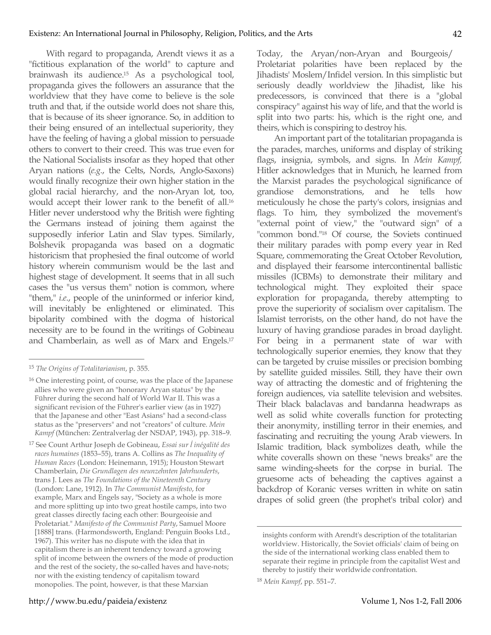With regard to propaganda, Arendt views it as a "fictitious explanation of the world" to capture and brainwash its audience.15 As a psychological tool, propaganda gives the followers an assurance that the worldview that they have come to believe is the sole truth and that, if the outside world does not share this, that is because of its sheer ignorance. So, in addition to their being ensured of an intellectual superiority, they have the feeling of having a global mission to persuade others to convert to their creed. This was true even for the National Socialists insofar as they hoped that other Aryan nations (*e.g.*, the Celts, Nords, Anglo-Saxons) would finally recognize their own higher station in the global racial hierarchy, and the non-Aryan lot, too, would accept their lower rank to the benefit of all.16 Hitler never understood why the British were fighting the Germans instead of joining them against the supposedly inferior Latin and Slav types. Similarly, Bolshevik propaganda was based on a dogmatic historicism that prophesied the final outcome of world history wherein communism would be the last and highest stage of development. It seems that in all such cases the "us versus them" notion is common, where "them," *i.e.*, people of the uninformed or inferior kind, will inevitably be enlightened or eliminated. This bipolarity combined with the dogma of historical necessity are to be found in the writings of Gobineau and Chamberlain, as well as of Marx and Engels.17

17 See Count Arthur Joseph de Gobineau, *Essai sur ĺ inégalité des races humaines* (1853–55), trans A. Collins as *The Inequality of Human Races* (London: Heinemann, 1915); Houston Stewart Chamberlain, *Die Grundlagen des neunzehnten Jahrhunderts*, trans J. Lees as *The Foundations of the Nineteenth Century*  (London: Lane, 1912). In *The Communist Manifesto*, for example, Marx and Engels say, "Society as a whole is more and more splitting up into two great hostile camps, into two great classes directly facing each other: Bourgeoisie and Proletariat." *Manifesto of the Communist Party*, Samuel Moore [1888] trans. (Harmondsworth, England: Penguin Books Ltd., 1967). This writer has no dispute with the idea that in capitalism there is an inherent tendency toward a growing split of income between the owners of the mode of production and the rest of the society, the so-called haves and have-nots; nor with the existing tendency of capitalism toward monopolies. The point, however, is that these Marxian

Today, the Aryan/non-Aryan and Bourgeois/ Proletariat polarities have been replaced by the Jihadists' Moslem/Infidel version. In this simplistic but seriously deadly worldview the Jihadist, like his predecessors, is convinced that there is a "global conspiracy" against his way of life, and that the world is split into two parts: his, which is the right one, and theirs, which is conspiring to destroy his.

An important part of the totalitarian propaganda is the parades, marches, uniforms and display of striking flags, insignia, symbols, and signs. In *Mein Kampf,*  Hitler acknowledges that in Munich, he learned from the Marxist parades the psychological significance of grandiose demonstrations, and he tells how meticulously he chose the party's colors, insignias and flags. To him, they symbolized the movement's "external point of view," the "outward sign" of a "common bond."18 Of course, the Soviets continued their military parades with pomp every year in Red Square, commemorating the Great October Revolution, and displayed their fearsome intercontinental ballistic missiles (ICBMs) to demonstrate their military and technological might. They exploited their space exploration for propaganda, thereby attempting to prove the superiority of socialism over capitalism. The Islamist terrorists, on the other hand, do not have the luxury of having grandiose parades in broad daylight. For being in a permanent state of war with technologically superior enemies, they know that they can be targeted by cruise missiles or precision bombing by satellite guided missiles. Still, they have their own way of attracting the domestic and of frightening the foreign audiences, via satellite television and websites. Their black balaclavas and bandanna headwraps as well as solid white coveralls function for protecting their anonymity, instilling terror in their enemies, and fascinating and recruiting the young Arab viewers. In Islamic tradition, black symbolizes death, while the white coveralls shown on these "news breaks" are the same winding-sheets for the corpse in burial. The gruesome acts of beheading the captives against a backdrop of Koranic verses written in white on satin drapes of solid green (the prophet's tribal color) and

 <sup>15</sup> *The Origins of Totalitarianism*, p. 355.

<sup>16</sup> One interesting point, of course, was the place of the Japanese allies who were given an "honorary Aryan status" by the Führer during the second half of World War II. This was a significant revision of the Führer's earlier view (as in 1927) that the Japanese and other "East Asians" had a second-class status as the "preservers" and not "creators" of culture. *Mein Kampf* (München: Zentralverlag der NSDAP, 1943), pp. 318–9.

insights conform with Arendt's description of the totalitarian worldview. Historically, the Soviet officials' claim of being on the side of the international working class enabled them to separate their regime in principle from the capitalist West and thereby to justify their worldwide confrontation.

<sup>18</sup> *Mein Kampf*, pp. 551–7.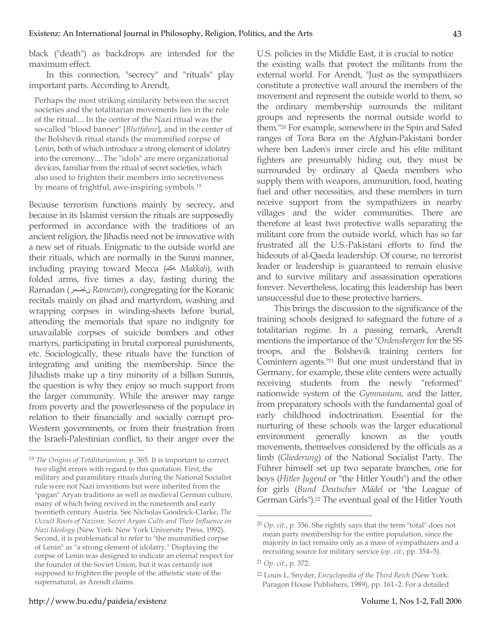black ("death") as backdrops are intended for the maximum effect.

In this connection, "secrecy" and "rituals" play important parts. According to Arendt,

Perhaps the most striking similarity between the secret societies and the totalitarian movements lies in the role of the ritual.... In the center of the Nazi ritual was the so-called "blood banner" [*Blutfahne*], and in the center of the Bolshevik ritual stands the mummified corpse of Lenin, both of which introduce a strong element of idolatry into the ceremony.... The "idols" are mere organizational devices, familiar from the ritual of secret societies, which also used to frighten their members into secretiveness by means of frightful, awe-inspiring symbols.19

Because terrorism functions mainly by secrecy, and because in its Islamist version the rituals are supposedly performed in accordance with the traditions of an ancient religion, the Jihadis need not be innovative with a new set of rituals. Enigmatic to the outside world are their rituals, which are normally in the Sunni manner, including praying toward Mecca (هكم *Makkah*), with folded arms, five times a day, fasting during the Ramadan (ناضمر *Ramezan*), congregating for the Koranic recitals mainly on jihad and martyrdom, washing and wrapping corpses in winding-sheets before burial, attending the memorials that spare no indignity for unavailable corpses of suicide bombers and other martyrs, participating in brutal corporeal punishments, etc. Sociologically, these rituals have the function of integrating and uniting the membership. Since the Jihadists make up a tiny minority of a billion Sunnis, the question is why they enjoy so much support from the larger community. While the answer may range from poverty and the powerlessness of the populace in relation to their financially and socially corrupt pro-Western governments, or from their frustration from the Israeli-Palestinian conflict, to their anger over the U.S. policies in the Middle East, it is crucial to notice the existing walls that protect the militants from the external world. For Arendt, "Just as the sympathizers constitute a protective wall around the members of the movement and represent the outside world to them, so the ordinary membership surrounds the militant groups and represents the normal outside world to them."20 For example, somewhere in the Spin and Safed ranges of Tora Bora on the Afghan-Pakistani border where ben Laden's inner circle and his elite militant fighters are presumably hiding out, they must be surrounded by ordinary al Qaeda members who supply them with weapons, ammunition, food, heating fuel and other necessities, and these members in turn receive support from the sympathizers in nearby villages and the wider communities. There are therefore at least two protective walls separating the militant core from the outside world, which has so far frustrated all the U.S.-Pakistani efforts to find the hideouts of al-Qaeda leadership. Of course, no terrorist leader or leadership is guaranteed to remain elusive and to survive military and assassination operations forever. Nevertheless, locating this leadership has been unsuccessful due to these protective barriers.

This brings the discussion to the significance of the training schools designed to safeguard the future of a totalitarian regime. In a passing remark, Arendt mentions the importance of the "*Ordensbergen* for the SS troops, and the Bolshevik training centers for Comintern agents."21 But one must understand that in Germany, for example, these elite centers were actually receiving students from the newly "reformed" nationwide system of the *Gymnasium*, and the latter, from preparatory schools with the fundamental goal of early childhood indoctrination. Essential for the nurturing of these schools was the larger educational environment generally known as the youth movements, themselves considered by the officials as a limb (*Gliederung*) of the National Socialist Party. The Führer himself set up two separate branches, one for boys (*Hitler Jugend* or "the Hitler Youth") and the other for girls (*Bund Deutscher Mädel* or "the League of German Girls").22 The eventual goal of the Hitler Youth

 <sup>19</sup> *The Origins of Totalitarianism,* p. 365. It is important to correct two slight errors with regard to this quotation. First, the military and paramilitary rituals during the National Socialist rule were not Nazi inventions but were inherited from the "pagan" Aryan traditions as well as medieval German culture, many of which being revived in the nineteenth and early twentieth century Austria. See Nicholas Goodrick-Clarke, *The Occult Roots of Nazism: Secret Aryan Cults and Their Influence on Nazi Ideology* (New York: New York University Press, 1992). Second, it is problematical to refer to "the mummified corpse of Lenin" as "a strong element of idolatry." Displaying the corpse of Lenin was designed to indicate an eternal respect for the founder of the Soviet Union, but it was certainly not supposed to frighten the people of the atheistic state of the supernatural, as Arendt claims.

 <sup>20</sup> *Op. cit.*, p. 356. She rightly says that the term "total" does not mean party membership for the entire population, since the majority in fact remains only as a mass of sympathizers and a recruiting source for military service (*op. cit.*, pp. 354–5).

<sup>21</sup> *Op. cit.*, p. 372.

<sup>22</sup> Louis L. Snyder, *Encyclopedia of the Third Reich* (New York: Paragon House Publishers, 1989), pp. 161–2. For a detailed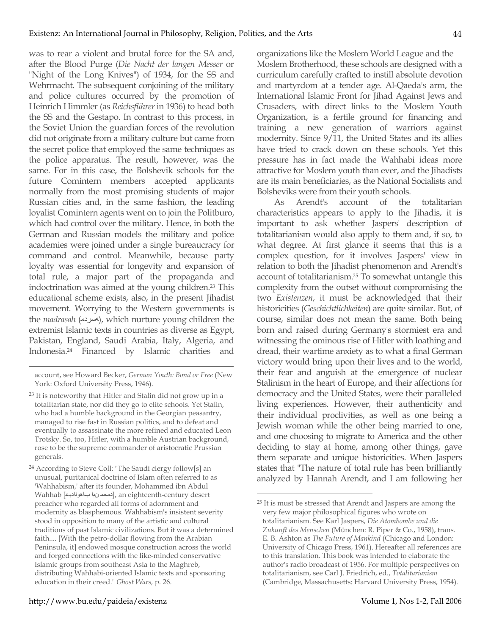was to rear a violent and brutal force for the SA and, after the Blood Purge (*Die Nacht der langen Messer* or "Night of the Long Knives") of 1934, for the SS and Wehrmacht. The subsequent conjoining of the military and police cultures occurred by the promotion of Heinrich Himmler (as *Reichsführer* in 1936) to head both the SS and the Gestapo. In contrast to this process, in the Soviet Union the guardian forces of the revolution did not originate from a military culture but came from the secret police that employed the same techniques as the police apparatus. The result, however, was the same. For in this case, the Bolshevik schools for the future Comintern members accepted applicants normally from the most promising students of major Russian cities and, in the same fashion, the leading loyalist Comintern agents went on to join the Politburo, which had control over the military. Hence, in both the German and Russian models the military and police academies were joined under a single bureaucracy for command and control. Meanwhile, because party loyalty was essential for longevity and expansion of total rule, a major part of the propaganda and indoctrination was aimed at the young children.23 This educational scheme exists, also, in the present Jihadist movement. Worrying to the Western governments is the *madrasah* (الهسردم), which nurture young children the extremist Islamic texts in countries as diverse as Egypt, Pakistan, England, Saudi Arabia, Italy, Algeria, and Indonesia.24 Financed by Islamic charities and

 $\overline{a}$ 

organizations like the Moslem World League and the Moslem Brotherhood, these schools are designed with a curriculum carefully crafted to instill absolute devotion and martyrdom at a tender age. Al-Qaeda's arm, the International Islamic Front for Jihad Against Jews and Crusaders, with direct links to the Moslem Youth Organization, is a fertile ground for financing and training a new generation of warriors against modernity. Since 9/11, the United States and its allies have tried to crack down on these schools. Yet this pressure has in fact made the Wahhabi ideas more attractive for Moslem youth than ever, and the Jihadists are its main beneficiaries, as the National Socialists and Bolsheviks were from their youth schools.

As Arendt's account of the totalitarian characteristics appears to apply to the Jihadis, it is important to ask whether Jaspers' description of totalitarianism would also apply to them and, if so, to what degree. At first glance it seems that this is a complex question, for it involves Jaspers' view in relation to both the Jihadist phenomenon and Arendt's account of totalitarianism.25 To somewhat untangle this complexity from the outset without compromising the two *Existenzen*, it must be acknowledged that their historicities (*Geschichtlichkeiten*) are quite similar. But, of course, similar does not mean the same. Both being born and raised during Germany's stormiest era and witnessing the ominous rise of Hitler with loathing and dread, their wartime anxiety as to what a final German victory would bring upon their lives and to the world, their fear and anguish at the emergence of nuclear Stalinism in the heart of Europe, and their affections for democracy and the United States, were their paralleled living experiences. However, their authenticity and their individual proclivities, as well as one being a Jewish woman while the other being married to one, and one choosing to migrate to America and the other deciding to stay at home, among other things, gave them separate and unique historicities. When Jaspers states that "The nature of total rule has been brilliantly analyzed by Hannah Arendt, and I am following her

account, see Howard Becker, *German Youth: Bond or Free* (New York: Oxford University Press, 1946).

<sup>&</sup>lt;sup>23</sup> It is noteworthy that Hitler and Stalin did not grow up in a totalitarian state, nor did they go to elite schools. Yet Stalin, who had a humble background in the Georgian peasantry, managed to rise fast in Russian politics, and to defeat and eventually to assassinate the more refined and educated Leon Trotsky. So, too, Hitler, with a humble Austrian background, rose to be the supreme commander of aristocratic Prussian generals.

<sup>24</sup> According to Steve Coll: "The Saudi clergy follow[s] an unusual, puritanical doctrine of Islam often referred to as 'Wahhabism,' after its founder, Mohammed ibn Abdul Wahhab [باهولادبع نبا دمحم[, an eighteenth-century desert preacher who regarded all forms of adornment and modernity as blasphemous. Wahhabism's insistent severity stood in opposition to many of the artistic and cultural traditions of past Islamic civilizations. But it was a determined faith.... [With the petro-dollar flowing from the Arabian Peninsula, it] endowed mosque construction across the world and forged connections with the like-minded conservative Islamic groups from southeast Asia to the Maghreb, distributing Wahhabi-oriented Islamic texts and sponsoring education in their creed." *Ghost Wars,* p*.* 26.

 <sup>25</sup> It is must be stressed that Arendt and Jaspers are among the very few major philosophical figures who wrote on totalitarianism. See Karl Jaspers, *Die Atombombe und die Zukunft des Menschen* (München: R. Piper & Co., 1958), trans. E. B. Ashton as *The Future of Mankind* (Chicago and London: University of Chicago Press, 1961). Hereafter all references are to this translation. This book was intended to elaborate the author's radio broadcast of 1956. For multiple perspectives on totalitarianism, see Carl J. Friedrich, ed., *Totalitarianism* (Cambridge, Massachusetts: Harvard University Press, 1954).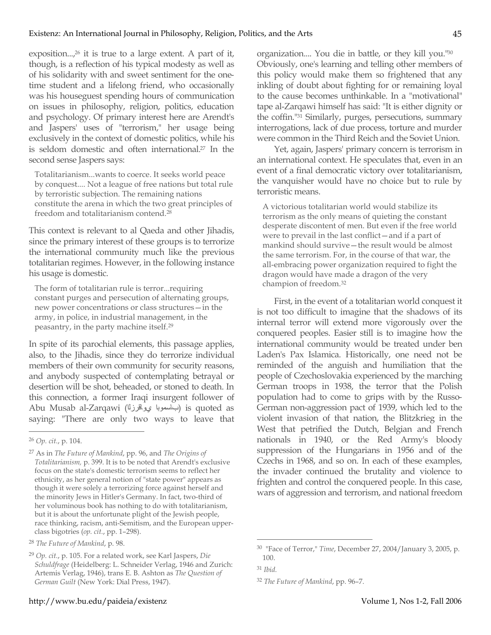exposition...,<sup>26</sup> it is true to a large extent. A part of it, though, is a reflection of his typical modesty as well as of his solidarity with and sweet sentiment for the onetime student and a lifelong friend, who occasionally was his houseguest spending hours of communication on issues in philosophy, religion, politics, education and psychology. Of primary interest here are Arendt's and Jaspers' uses of "terrorism," her usage being exclusively in the context of domestic politics, while his is seldom domestic and often international.27 In the second sense Jaspers says:

Totalitarianism...wants to coerce. It seeks world peace by conquest.... Not a league of free nations but total rule by terroristic subjection. The remaining nations constitute the arena in which the two great principles of freedom and totalitarianism contend.28

This context is relevant to al Qaeda and other Jihadis, since the primary interest of these groups is to terrorize the international community much like the previous totalitarian regimes. However, in the following instance his usage is domestic.

The form of totalitarian rule is terror...requiring constant purges and persecution of alternating groups, new power concentrations or class structures—in the army, in police, in industrial management, in the peasantry, in the party machine itself.29

In spite of its parochial elements, this passage applies, also, to the Jihadis, since they do terrorize individual members of their own community for security reasons, and anybody suspected of contemplating betrayal or desertion will be shot, beheaded, or stoned to death. In this connection, a former Iraqi insurgent follower of Abu Musab al-Zarqawi (يواقرزلا باسموبا (is quoted as saying: "There are only two ways to leave that organization.... You die in battle, or they kill you."30 Obviously, one's learning and telling other members of this policy would make them so frightened that any inkling of doubt about fighting for or remaining loyal to the cause becomes unthinkable. In a "motivational" tape al-Zarqawi himself has said: "It is either dignity or the coffin."31 Similarly, purges, persecutions, summary interrogations, lack of due process, torture and murder were common in the Third Reich and the Soviet Union.

Yet, again, Jaspers' primary concern is terrorism in an international context. He speculates that, even in an event of a final democratic victory over totalitarianism, the vanquisher would have no choice but to rule by terroristic means.

A victorious totalitarian world would stabilize its terrorism as the only means of quieting the constant desperate discontent of men. But even if the free world were to prevail in the last conflict—and if a part of mankind should survive—the result would be almost the same terrorism. For, in the course of that war, the all-embracing power organization required to fight the dragon would have made a dragon of the very champion of freedom.32

First, in the event of a totalitarian world conquest it is not too difficult to imagine that the shadows of its internal terror will extend more vigorously over the conquered peoples. Easier still is to imagine how the international community would be treated under ben Laden's Pax Islamica. Historically, one need not be reminded of the anguish and humiliation that the people of Czechoslovakia experienced by the marching German troops in 1938, the terror that the Polish population had to come to grips with by the Russo-German non-aggression pact of 1939, which led to the violent invasion of that nation, the Blitzkrieg in the West that petrified the Dutch, Belgian and French nationals in 1940, or the Red Army's bloody suppression of the Hungarians in 1956 and of the Czechs in 1968, and so on. In each of these examples, the invader continued the brutality and violence to frighten and control the conquered people. In this case, wars of aggression and terrorism, and national freedom

 <sup>26</sup> *Op. cit.*, p. 104.

<sup>27</sup> As in *The Future of Mankind*, pp. 96, and *The Origins of Totalitarianism,* p. 399. It is to be noted that Arendt's exclusive focus on the state's domestic terrorism seems to reflect her ethnicity, as her general notion of "state power" appears as though it were solely a terrorizing force against herself and the minority Jews in Hitler's Germany. In fact, two-third of her voluminous book has nothing to do with totalitarianism, but it is about the unfortunate plight of the Jewish people, race thinking, racism, anti-Semitism, and the European upperclass bigotries (*op. cit.*, pp. 1–298).

<sup>28</sup> *The Future of Mankind*, p. 98.

<sup>29</sup> *Op. cit.*, p. 105. For a related work, see Karl Jaspers, *Die Schuldfrage* (Heidelberg: L. Schneider Verlag, 1946 and Zurich: Artemis Verlag, 1946), trans E. B. Ashton as *The Question of German Guilt* (New York: Dial Press, 1947).

 <sup>30</sup> "Face of Terror," *Time*, December 27, 2004/January 3, 2005, p. 100.

<sup>31</sup> *Ibid.*

<sup>32</sup> *The Future of Mankind*, pp. 96–7.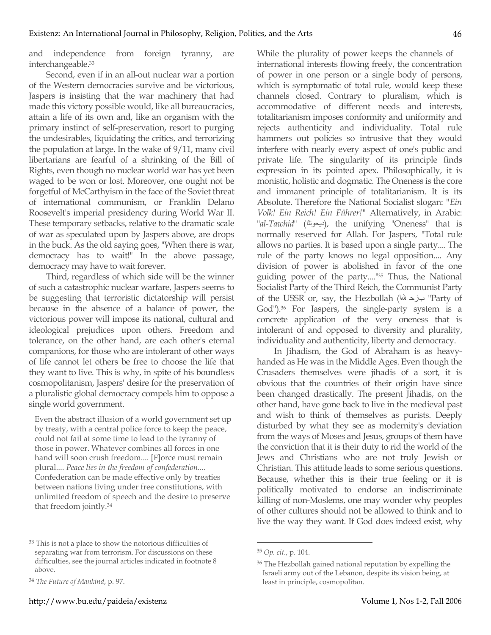and independence from foreign tyranny, are interchangeable.33

Second, even if in an all-out nuclear war a portion of the Western democracies survive and be victorious, Jaspers is insisting that the war machinery that had made this victory possible would, like all bureaucracies, attain a life of its own and, like an organism with the primary instinct of self-preservation, resort to purging the undesirables, liquidating the critics, and terrorizing the population at large. In the wake of 9/11, many civil libertarians are fearful of a shrinking of the Bill of Rights, even though no nuclear world war has yet been waged to be won or lost. Moreover, one ought not be forgetful of McCarthyism in the face of the Soviet threat of international communism, or Franklin Delano Roosevelt's imperial presidency during World War II. These temporary setbacks, relative to the dramatic scale of war as speculated upon by Jaspers above, are drops in the buck. As the old saying goes, "When there is war, democracy has to wait!" In the above passage, democracy may have to wait forever.

Third, regardless of which side will be the winner of such a catastrophic nuclear warfare, Jaspers seems to be suggesting that terroristic dictatorship will persist because in the absence of a balance of power, the victorious power will impose its national, cultural and ideological prejudices upon others. Freedom and tolerance, on the other hand, are each other's eternal companions, for those who are intolerant of other ways of life cannot let others be free to choose the life that they want to live. This is why, in spite of his boundless cosmopolitanism, Jaspers' desire for the preservation of a pluralistic global democracy compels him to oppose a single world government.

Even the abstract illusion of a world government set up by treaty, with a central police force to keep the peace, could not fail at some time to lead to the tyranny of those in power. Whatever combines all forces in one hand will soon crush freedom.... [F]orce must remain plural.... *Peace lies in the freedom of confederation....*  Confederation can be made effective only by treaties between nations living under free constitutions, with unlimited freedom of speech and the desire to preserve that freedom jointly.34

While the plurality of power keeps the channels of international interests flowing freely, the concentration of power in one person or a single body of persons, which is symptomatic of total rule, would keep these channels closed. Contrary to pluralism, which is accommodative of different needs and interests, totalitarianism imposes conformity and uniformity and rejects authenticity and individuality. Total rule hammers out policies so intrusive that they would interfere with nearly every aspect of one's public and private life. The singularity of its principle finds expression in its pointed apex. Philosophically, it is monistic, holistic and dogmatic. The Oneness is the core and immanent principle of totalitarianism. It is its Absolute. Therefore the National Socialist slogan: *"Ein Volk! Ein Reich! Ein Führer!"* Alternatively, in Arabic: "*al-Tawhid*" (ديحوتلا), the unifying "Oneness" that is normally reserved for Allah. For Jaspers, "Total rule allows no parties. It is based upon a single party.... The rule of the party knows no legal opposition.... Any division of power is abolished in favor of the one guiding power of the party...."35 Thus, the National Socialist Party of the Third Reich, the Communist Party of the USSR or, say, the Hezbollah (اللها بزح" Party of God").<sup>36</sup> For Jaspers, the single-party system is a concrete application of the very oneness that is intolerant of and opposed to diversity and plurality, individuality and authenticity, liberty and democracy.

In Jihadism, the God of Abraham is as heavyhanded as He was in the Middle Ages. Even though the Crusaders themselves were jihadis of a sort, it is obvious that the countries of their origin have since been changed drastically. The present Jihadis, on the other hand, have gone back to live in the medieval past and wish to think of themselves as purists. Deeply disturbed by what they see as modernity's deviation from the ways of Moses and Jesus, groups of them have the conviction that it is their duty to rid the world of the Jews and Christians who are not truly Jewish or Christian. This attitude leads to some serious questions. Because, whether this is their true feeling or it is politically motivated to endorse an indiscriminate killing of non-Moslems, one may wonder why peoples of other cultures should not be allowed to think and to live the way they want. If God does indeed exist, why

 <sup>33</sup> This is not a place to show the notorious difficulties of separating war from terrorism. For discussions on these difficulties, see the journal articles indicated in footnote 8 above.

<sup>34</sup> *The Future of Mankind*, p. 97.

 <sup>35</sup> *Op. cit.*, p. 104.

<sup>&</sup>lt;sup>36</sup> The Hezbollah gained national reputation by expelling the Israeli army out of the Lebanon, despite its vision being, at least in principle, cosmopolitan.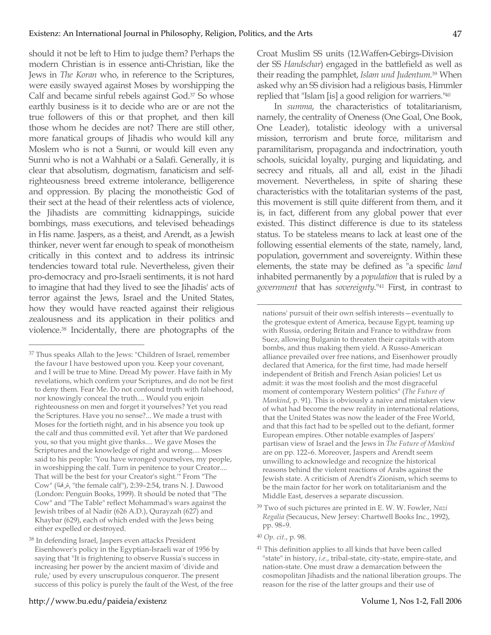should it not be left to Him to judge them? Perhaps the modern Christian is in essence anti-Christian, like the Jews in *The Koran* who, in reference to the Scriptures, were easily swayed against Moses by worshipping the Calf and became sinful rebels against God.37 So whose earthly business is it to decide who are or are not the true followers of this or that prophet, and then kill those whom he decides are not? There are still other, more fanatical groups of Jihadis who would kill any Moslem who is not a Sunni, or would kill even any Sunni who is not a Wahhabi or a Salafi. Generally, it is clear that absolutism, dogmatism, fanaticism and selfrighteousness breed extreme intolerance, belligerence and oppression. By placing the monotheistic God of their sect at the head of their relentless acts of violence, the Jihadists are committing kidnappings, suicide bombings, mass executions, and televised beheadings in His name. Jaspers, as a theist, and Arendt, as a Jewish thinker, never went far enough to speak of monotheism critically in this context and to address its intrinsic tendencies toward total rule. Nevertheless, given their pro-democracy and pro-Israeli sentiments, it is not hard to imagine that had they lived to see the Jihadis' acts of terror against the Jews, Israel and the United States, how they would have reacted against their religious zealousness and its application in their politics and violence.38 Incidentally, there are photographs of the Croat Muslim SS units (12.Waffen-Gebirgs-Division der SS *Handschar*) engaged in the battlefield as well as their reading the pamphlet, *Islam und Judentum*. <sup>39</sup> When asked why an SS division had a religious basis, Himmler replied that "Islam [is] a good religion for warriers."40

In *summa*, the characteristics of totalitarianism, namely, the centrality of Oneness (One Goal, One Book, One Leader), totalistic ideology with a universal mission, terrorism and brute force, militarism and paramilitarism, propaganda and indoctrination, youth schools, suicidal loyalty, purging and liquidating, and secrecy and rituals, all and all, exist in the Jihadi movement. Nevertheless, in spite of sharing these characteristics with the totalitarian systems of the past, this movement is still quite different from them, and it is, in fact, different from any global power that ever existed. This distinct difference is due to its stateless status. To be stateless means to lack at least one of the following essential elements of the state, namely, land, population, government and sovereignty. Within these elements, the state may be defined as "a specific *land* inhabited permanently by a *population* that is ruled by a *government* that has *sovereignty*."41 First, in contrast to

<sup>&</sup>lt;sup>37</sup> Thus speaks Allah to the Jews: "Children of Israel, remember the favour I have bestowed upon you. Keep your covenant, and I will be true to Mine. Dread My power. Have faith in My revelations, which confirm your Scriptures, and do not be first to deny them. Fear Me. Do not confound truth with falsehood, nor knowingly conceal the truth.... Would you enjoin righteousness on men and forget it yourselves? Yet you read the Scriptures. Have you no sense?... We made a trust with Moses for the fortieth night, and in his absence you took up the calf and thus committed evil. Yet after that We pardoned you, so that you might give thanks.... We gave Moses the Scriptures and the knowledge of right and wrong.... Moses said to his people: 'You have wronged yourselves, my people, in worshipping the calf. Turn in penitence to your Creator.... That will be the best for your Creator's sight.'" From "The Cow" (ةرقبلا," the female calf"), 2:39–2:54, trans N. J. Dawood (London: Penguin Books, 1999). It should be noted that "The Cow" and "The Table" reflect Mohammad's wars against the Jewish tribes of al Nadir (626 A.D.), Qurayzah (627) and Khaybar (629), each of which ended with the Jews being either expelled or destroyed.

<sup>38</sup> In defending Israel, Jaspers even attacks President Eisenhower's policy in the Egyptian-Israeli war of 1956 by saying that "It is frightening to observe Russia's success in increasing her power by the ancient maxim of 'divide and rule,' used by every unscrupulous conqueror. The present success of this policy is purely the fault of the West, of the free

nations' pursuit of their own selfish interests—eventually to the grotesque extent of America, because Egypt, teaming up with Russia, ordering Britain and France to withdraw from Suez, allowing Bulganin to threaten their capitals with atom bombs, and thus making them yield. A Russo-American alliance prevailed over free nations, and Eisenhower proudly declared that America, for the first time, had made herself independent of British and French Asian policies! Let us admit: it was the most foolish and the most disgraceful moment of contemporary Western politics" (*The Future of Mankind*, p. 91). This is obviously a naive and mistaken view of what had become the new reality in international relations, that the United States was now the leader of the Free World, and that this fact had to be spelled out to the defiant, former European empires. Other notable examples of Jaspers' partisan view of Israel and the Jews in *The Future of Mankind*  are on pp. 122–6. Moreover, Jaspers and Arendt seem unwilling to acknowledge and recognize the historical reasons behind the violent reactions of Arabs against the Jewish state. A criticism of Arendt's Zionism, which seems to be the main factor for her work on totalitarianism and the Middle East, deserves a separate discussion.

<sup>39</sup> Two of such pictures are printed in E. W. W. Fowler, *Nazi Regalia* (Secaucus, New Jersey: Chartwell Books Inc., 1992), pp. 98–9.

<sup>40</sup> *Op. cit.*, p. 98.

<sup>&</sup>lt;sup>41</sup> This definition applies to all kinds that have been called "state" in history, *i.e.*, tribal-state, city-state, empire-state, and nation-state. One must draw a demarcation between the cosmopolitan Jihadists and the national liberation groups. The reason for the rise of the latter groups and their use of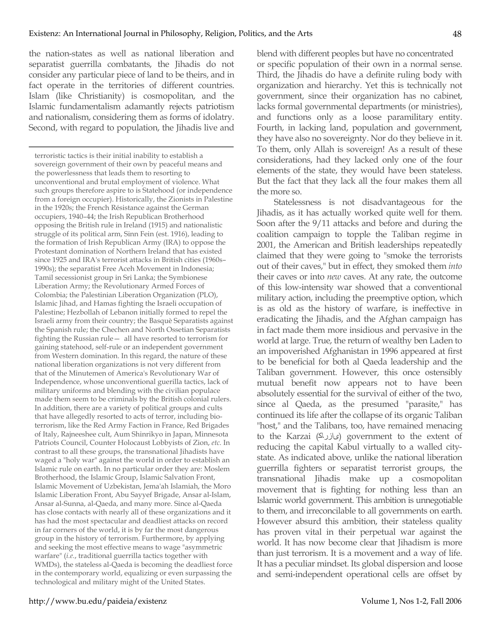the nation-states as well as national liberation and separatist guerrilla combatants, the Jihadis do not consider any particular piece of land to be theirs, and in fact operate in the territories of different countries. Islam (like Christianity) is cosmopolitan, and the Islamic fundamentalism adamantly rejects patriotism and nationalism, considering them as forms of idolatry. Second, with regard to population, the Jihadis live and

 $\overline{a}$ 

terroristic tactics is their initial inability to establish a sovereign government of their own by peaceful means and the powerlessness that leads them to resorting to unconventional and brutal employment of violence. What such groups therefore aspire to is Statehood (or independence from a foreign occupier). Historically, the Zionists in Palestine in the 1920s; the French Résistance against the German occupiers, 1940–44; the Irish Republican Brotherhood opposing the British rule in Ireland (1915) and nationalistic struggle of its political arm, Sinn Fein (est. 1916), leading to the formation of Irish Republican Army (IRA) to oppose the Protestant domination of Northern Ireland that has existed since 1925 and IRA's terrorist attacks in British cities (1960s– 1990s); the separatist Free Aceh Movement in Indonesia; Tamil secessionist group in Sri Lanka; the Symbionese Liberation Army; the Revolutionary Armed Forces of Colombia; the Palestinian Liberation Organization (PLO), Islamic Jihad, and Hamas fighting the Israeli occupation of Palestine; Hezbollah of Lebanon initially formed to repel the Israeli army from their country; the Basquè Separatists against the Spanish rule; the Chechen and North Ossetian Separatists fighting the Russian rule— all have resorted to terrorism for gaining statehood, self-rule or an independent government from Western domination. In this regard, the nature of these national liberation organizations is not very different from that of the Minutemen of America's Revolutionary War of Independence, whose unconventional guerilla tactics, lack of military uniforms and blending with the civilian populace made them seem to be criminals by the British colonial rulers. In addition, there are a variety of political groups and cults that have allegedly resorted to acts of terror, including bioterrorism, like the Red Army Faction in France, Red Brigades of Italy, Rajneeshee cult, Aum Shinrikyo in Japan, Minnesota Patriots Council, Counter Holocaust Lobbyists of Zion, *etc.* In contrast to all these groups, the transnational Jihadists have waged a "holy war" against the world in order to establish an Islamic rule on earth. In no particular order they are: Moslem Brotherhood, the Islamic Group, Islamic Salvation Front, Islamic Movement of Uzbekistan, Jema'ah Islamiah, the Moro Islamic Liberation Front, Abu Sayyef Brigade, Ansar al-Islam, Ansar al-Sunna, al-Qaeda, and many more. Since al-Qaeda has close contacts with nearly all of these organizations and it has had the most spectacular and deadliest attacks on record in far corners of the world, it is by far the most dangerous group in the history of terrorism. Furthermore, by applying and seeking the most effective means to wage "asymmetric warfare" (*i.e.*, traditional guerrilla tactics together with WMDs), the stateless al-Qaeda is becoming the deadliest force in the contemporary world, equalizing or even surpassing the technological and military might of the United States.

blend with different peoples but have no concentrated or specific population of their own in a normal sense. Third, the Jihadis do have a definite ruling body with organization and hierarchy. Yet this is technically not government, since their organization has no cabinet, lacks formal governmental departments (or ministries), and functions only as a loose paramilitary entity. Fourth, in lacking land, population and government, they have also no sovereignty. Nor do they believe in it. To them, only Allah is sovereign! As a result of these considerations, had they lacked only one of the four elements of the state, they would have been stateless. But the fact that they lack all the four makes them all the more so.

Statelessness is not disadvantageous for the Jihadis, as it has actually worked quite well for them. Soon after the 9/11 attacks and before and during the coalition campaign to topple the Taliban regime in 2001, the American and British leaderships repeatedly claimed that they were going to "smoke the terrorists out of their caves," but in effect, they smoked them *into* their caves or into *new* caves. At any rate, the outcome of this low-intensity war showed that a conventional military action, including the preemptive option, which is as old as the history of warfare, is ineffective in eradicating the Jihadis, and the Afghan campaign has in fact made them more insidious and pervasive in the world at large. True, the return of wealthy ben Laden to an impoverished Afghanistan in 1996 appeared at first to be beneficial for both al Qaeda leadership and the Taliban government. However, this once ostensibly mutual benefit now appears not to have been absolutely essential for the survival of either of the two, since al Qaeda, as the presumed "parasite," has continued its life after the collapse of its organic Taliban "host," and the Talibans, too, have remained menacing to the Karzai (عازراک) government to the extent of reducing the capital Kabul virtually to a walled citystate. As indicated above, unlike the national liberation guerrilla fighters or separatist terrorist groups, the transnational Jihadis make up a cosmopolitan movement that is fighting for nothing less than an Islamic world government. This ambition is unnegotiable to them, and irreconcilable to all governments on earth. However absurd this ambition, their stateless quality has proven vital in their perpetual war against the world. It has now become clear that Jihadism is more than just terrorism. It is a movement and a way of life. It has a peculiar mindset. Its global dispersion and loose and semi-independent operational cells are offset by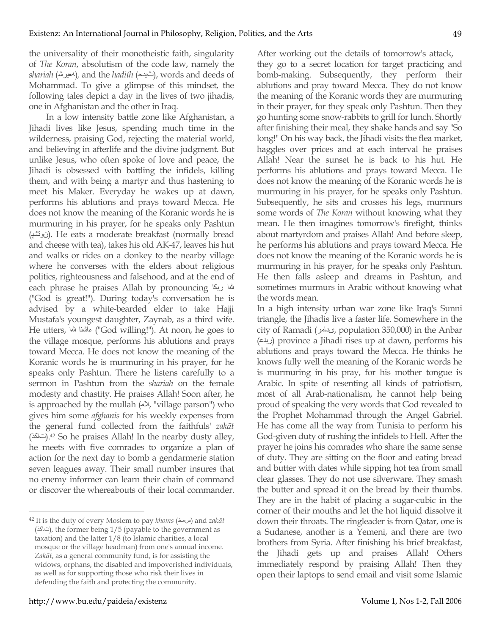the universality of their monotheistic faith, singularity of *The Koran*, absolutism of the code law, namely the *shariah* (معيرش), and the *hadith* (شيدح), words and deeds of Mohammad. To give a glimpse of this mindset, the following tales depict a day in the lives of two jihadis, one in Afghanistan and the other in Iraq.

In a low intensity battle zone like Afghanistan, a Jihadi lives like Jesus, spending much time in the wilderness, praising God, rejecting the material world, and believing in afterlife and the divine judgment. But unlike Jesus, who often spoke of love and peace, the Jihadi is obsessed with battling the infidels, killing them, and with being a martyr and thus hastening to meet his Maker. Everyday he wakes up at dawn, performs his ablutions and prays toward Mecca. He does not know the meaning of the Koranic words he is murmuring in his prayer, for he speaks only Pashtun (نوتشپ(. He eats a moderate breakfast (normally bread and cheese with tea), takes his old AK-47, leaves his hut and walks or rides on a donkey to the nearby village where he converses with the elders about religious politics, righteousness and falsehood, and at the end of each phrase he praises Allah by pronouncing شا ربکا ("God is great!"). During today's conversation he is advised by a white-bearded elder to take Hajji Mustafa's youngest daughter, Zaynab, as a third wife. He utters, المثنا سلام ("God willing!"). At noon, he goes to the village mosque, performs his ablutions and prays toward Mecca. He does not know the meaning of the Koranic words he is murmuring in his prayer, for he speaks only Pashtun. There he listens carefully to a sermon in Pashtun from the *shariah* on the female modesty and chastity. He praises Allah! Soon after, he is approached by the mullah  $(\triangle\lambda, \text{ "village parson") who})$ gives him some *afghanis* for his weekly expenses from the general fund collected from the faithfuls' *zakāt*  (تاكذ(.42 So he praises Allah! In the nearby dusty alley, he meets with five comrades to organize a plan of action for the next day to bomb a gendarmerie station seven leagues away. Their small number insures that no enemy informer can learn their chain of command or discover the whereabouts of their local commander. After working out the details of tomorrow's attack, they go to a secret location for target practicing and bomb-making. Subsequently, they perform their ablutions and pray toward Mecca. They do not know the meaning of the Koranic words they are murmuring in their prayer, for they speak only Pashtun. Then they go hunting some snow-rabbits to grill for lunch. Shortly after finishing their meal, they shake hands and say "So long!" On his way back, the Jihadi visits the flea market, haggles over prices and at each interval he praises Allah! Near the sunset he is back to his hut. He performs his ablutions and prays toward Mecca. He does not know the meaning of the Koranic words he is murmuring in his prayer, for he speaks only Pashtun. Subsequently, he sits and crosses his legs, murmurs some words of *The Koran* without knowing what they mean. He then imagines tomorrow's firefight, thinks about martyrdom and praises Allah! And before sleep, he performs his ablutions and prays toward Mecca. He does not know the meaning of the Koranic words he is murmuring in his prayer, for he speaks only Pashtun. He then falls asleep and dreams in Pashtun, and sometimes murmurs in Arabic without knowing what the words mean.

In a high intensity urban war zone like Iraq's Sunni triangle, the Jihadis live a faster life. Somewhere in the city of Ramadi (ىدامر, population 350,000) in the Anbar (ربنع (province a Jihadi rises up at dawn, performs his ablutions and prays toward the Mecca. He thinks he knows fully well the meaning of the Koranic words he is murmuring in his pray, for his mother tongue is Arabic. In spite of resenting all kinds of patriotism, most of all Arab-nationalism, he cannot help being proud of speaking the very words that God revealed to the Prophet Mohammad through the Angel Gabriel. He has come all the way from Tunisia to perform his God-given duty of rushing the infidels to Hell. After the prayer he joins his comrades who share the same sense of duty. They are sitting on the floor and eating bread and butter with dates while sipping hot tea from small clear glasses. They do not use silverware. They smash the butter and spread it on the bread by their thumbs. They are in the habit of placing a sugar-cubic in the corner of their mouths and let the hot liquid dissolve it down their throats. The ringleader is from Qatar, one is a Sudanese, another is a Yemeni, and there are two brothers from Syria. After finishing his brief breakfast, the Jihadi gets up and praises Allah! Others immediately respond by praising Allah! Then they open their laptops to send email and visit some Islamic

<sup>&</sup>lt;sup>42</sup> It is the duty of every Moslem to pay *khoms* (سمخ) and *zakāt* (تاكذ(, the former being 1/5 (payable to the government as taxation) and the latter 1/8 (to Islamic charities, a local mosque or the village headman) from one's annual income. *Zakāt*, as a general community fund, is for assisting the widows, orphans, the disabled and impoverished individuals, as well as for supporting those who risk their lives in defending the faith and protecting the community.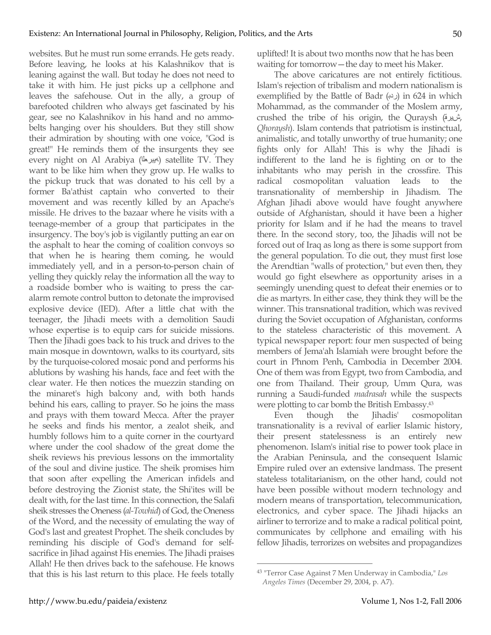websites. But he must run some errands. He gets ready. Before leaving, he looks at his Kalashnikov that is leaning against the wall. But today he does not need to take it with him. He just picks up a cellphone and leaves the safehouse. Out in the ally, a group of barefooted children who always get fascinated by his gear, see no Kalashnikov in his hand and no ammobelts hanging over his shoulders. But they still show their admiration by shouting with one voice, "God is great!" He reminds them of the insurgents they see every night on Al Arabiya (الجيرعة) satellite TV. They want to be like him when they grow up. He walks to the pickup truck that was donated to his cell by a former Ba'athist captain who converted to their movement and was recently killed by an Apache's missile. He drives to the bazaar where he visits with a teenage-member of a group that participates in the insurgency. The boy's job is vigilantly putting an ear on the asphalt to hear the coming of coalition convoys so that when he is hearing them coming, he would immediately yell, and in a person-to-person chain of yelling they quickly relay the information all the way to a roadside bomber who is waiting to press the caralarm remote control button to detonate the improvised explosive device (IED). After a little chat with the teenager, the Jihadi meets with a demolition Saudi whose expertise is to equip cars for suicide missions. Then the Jihadi goes back to his truck and drives to the main mosque in downtown, walks to its courtyard, sits by the turquoise-colored mosaic pond and performs his ablutions by washing his hands, face and feet with the clear water. He then notices the muezzin standing on the minaret's high balcony and, with both hands behind his ears, calling to prayer. So he joins the mass and prays with them toward Mecca. After the prayer he seeks and finds his mentor, a zealot sheik, and humbly follows him to a quite corner in the courtyard where under the cool shadow of the great dome the sheik reviews his previous lessons on the immortality of the soul and divine justice. The sheik promises him that soon after expelling the American infidels and before destroying the Zionist state, the Shi'ites will be dealt with, for the last time. In this connection, the Salafi sheik stresses the Oneness (*al-Towhid*) of God, the Oneness of the Word, and the necessity of emulating the way of God's last and greatest Prophet. The sheik concludes by reminding his disciple of God's demand for selfsacrifice in Jihad against His enemies. The Jihadi praises Allah! He then drives back to the safehouse. He knows that this is his last return to this place. He feels totally uplifted! It is about two months now that he has been waiting for tomorrow—the day to meet his Maker.

The above caricatures are not entirely fictitious. Islam's rejection of tribalism and modern nationalism is exemplified by the Battle of Badr (ردب) in 624 in which Mohammad, as the commander of the Moslem army, crushed the tribe of his origin, the Quraysh (شيرق, *Qhoraysh*). Islam contends that patriotism is instinctual, animalistic, and totally unworthy of true humanity; one fights only for Allah! This is why the Jihadi is indifferent to the land he is fighting on or to the inhabitants who may perish in the crossfire. This radical cosmopolitan valuation leads to the transnationality of membership in Jihadism. The Afghan Jihadi above would have fought anywhere outside of Afghanistan, should it have been a higher priority for Islam and if he had the means to travel there. In the second story, too, the Jihadis will not be forced out of Iraq as long as there is some support from the general population. To die out, they must first lose the Arendtian "walls of protection," but even then, they would go fight elsewhere as opportunity arises in a seemingly unending quest to defeat their enemies or to die as martyrs. In either case, they think they will be the winner. This transnational tradition, which was revived during the Soviet occupation of Afghanistan, conforms to the stateless characteristic of this movement. A typical newspaper report: four men suspected of being members of Jema'ah Islamiah were brought before the court in Phnom Penh, Cambodia in December 2004. One of them was from Egypt, two from Cambodia, and one from Thailand. Their group, Umm Qura, was running a Saudi-funded *madrasah* while the suspects were plotting to car bomb the British Embassy.43

Even though the Jihadis' cosmopolitan transnationality is a revival of earlier Islamic history, their present statelessness is an entirely new phenomenon. Islam's initial rise to power took place in the Arabian Peninsula, and the consequent Islamic Empire ruled over an extensive landmass. The present stateless totalitarianism, on the other hand, could not have been possible without modern technology and modern means of transportation, telecommunication, electronics, and cyber space. The Jihadi hijacks an airliner to terrorize and to make a radical political point, communicates by cellphone and emailing with his fellow Jihadis, terrorizes on websites and propagandizes

 <sup>43 &</sup>quot;Terror Case Against 7 Men Underway in Cambodia," *Los Angeles Times* (December 29, 2004, p. A7).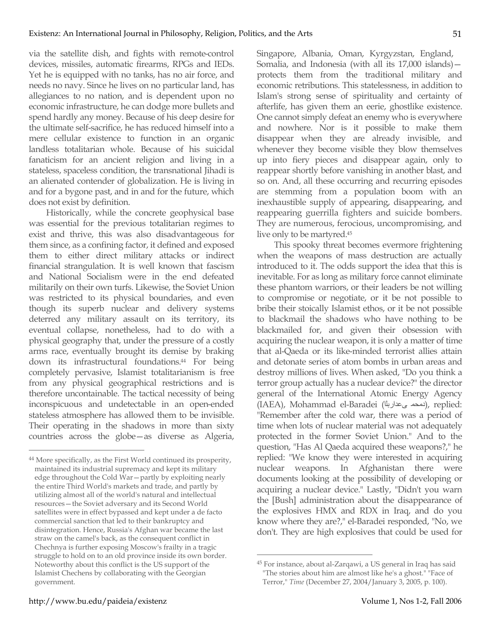via the satellite dish, and fights with remote-control devices, missiles, automatic firearms, RPGs and IEDs. Yet he is equipped with no tanks, has no air force, and needs no navy. Since he lives on no particular land, has allegiances to no nation, and is dependent upon no economic infrastructure, he can dodge more bullets and spend hardly any money. Because of his deep desire for the ultimate self-sacrifice, he has reduced himself into a mere cellular existence to function in an organic landless totalitarian whole. Because of his suicidal fanaticism for an ancient religion and living in a stateless, spaceless condition, the transnational Jihadi is an alienated contender of globalization. He is living in and for a bygone past, and in and for the future, which does not exist by definition.

Historically, while the concrete geophysical base was essential for the previous totalitarian regimes to exist and thrive, this was also disadvantageous for them since, as a confining factor, it defined and exposed them to either direct military attacks or indirect financial strangulation. It is well known that fascism and National Socialism were in the end defeated militarily on their own turfs. Likewise, the Soviet Union was restricted to its physical boundaries, and even though its superb nuclear and delivery systems deterred any military assault on its territory, its eventual collapse, nonetheless, had to do with a physical geography that, under the pressure of a costly arms race, eventually brought its demise by braking down its infrastructural foundations.44 For being completely pervasive, Islamist totalitarianism is free from any physical geographical restrictions and is therefore uncontainable. The tactical necessity of being inconspicuous and undetectable in an open-ended stateless atmosphere has allowed them to be invisible. Their operating in the shadows in more than sixty countries across the globe—as diverse as Algeria,

Singapore, Albania, Oman, Kyrgyzstan, England, Somalia, and Indonesia (with all its 17,000 islands) protects them from the traditional military and economic retributions. This statelessness, in addition to Islam's strong sense of spirituality and certainty of afterlife, has given them an eerie, ghostlike existence. One cannot simply defeat an enemy who is everywhere and nowhere. Nor is it possible to make them disappear when they are already invisible, and whenever they become visible they blow themselves up into fiery pieces and disappear again, only to reappear shortly before vanishing in another blast, and so on. And, all these occurring and recurring episodes are stemming from a population boom with an inexhaustible supply of appearing, disappearing, and reappearing guerrilla fighters and suicide bombers. They are numerous, ferocious, uncompromising, and live only to be martyred.45

This spooky threat becomes evermore frightening when the weapons of mass destruction are actually introduced to it. The odds support the idea that this is inevitable. For as long as military force cannot eliminate these phantom warriors, or their leaders be not willing to compromise or negotiate, or it be not possible to bribe their stoically Islamist ethos, or it be not possible to blackmail the shadows who have nothing to be blackmailed for, and given their obsession with acquiring the nuclear weapon, it is only a matter of time that al-Qaeda or its like-minded terrorist allies attain and detonate series of atom bombs in urban areas and destroy millions of lives. When asked, "Do you think a terror group actually has a nuclear device?" the director general of the International Atomic Energy Agency (IAEA), Mohammad el-Baradei (دمحم ى عداربلا), replied: "Remember after the cold war, there was a period of time when lots of nuclear material was not adequately protected in the former Soviet Union." And to the question, "Has Al Qaeda acquired these weapons?," he replied: "We know they were interested in acquiring nuclear weapons. In Afghanistan there were documents looking at the possibility of developing or acquiring a nuclear device." Lastly, "Didn't you warn the [Bush] administration about the disappearance of the explosives HMX and RDX in Iraq, and do you know where they are?," el-Baradei responded, "No, we don't. They are high explosives that could be used for

51

<sup>&</sup>lt;sup>44</sup> More specifically, as the First World continued its prosperity, maintained its industrial supremacy and kept its military edge throughout the Cold War—partly by exploiting nearly the entire Third World's markets and trade, and partly by utilizing almost all of the world's natural and intellectual resources—the Soviet adversary and its Second World satellites were in effect bypassed and kept under a de facto commercial sanction that led to their bankruptcy and disintegration. Hence, Russia's Afghan war became the last straw on the camel's back, as the consequent conflict in Chechnya is further exposing Moscow's frailty in a tragic struggle to hold on to an old province inside its own border. Noteworthy about this conflict is the US support of the Islamist Chechens by collaborating with the Georgian government.

 <sup>45</sup> For instance, about al-Zarqawi, a US general in Iraq has said "The stories about him are almost like he's a ghost." "Face of

Terror," *Time* (December 27, 2004/January 3, 2005, p. 100).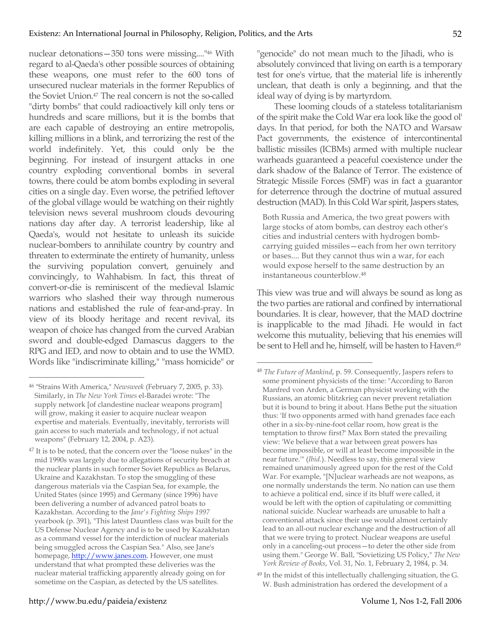nuclear detonations—350 tons were missing...."46 With regard to al-Qaeda's other possible sources of obtaining these weapons, one must refer to the 600 tons of unsecured nuclear materials in the former Republics of the Soviet Union.47 The real concern is not the so-called "dirty bombs" that could radioactively kill only tens or hundreds and scare millions, but it is the bombs that are each capable of destroying an entire metropolis, killing millions in a blink, and terrorizing the rest of the world indefinitely. Yet, this could only be the beginning. For instead of insurgent attacks in one country exploding conventional bombs in several towns, there could be atom bombs exploding in several cities on a single day. Even worse, the petrified leftover of the global village would be watching on their nightly television news several mushroom clouds devouring nations day after day. A terrorist leadership, like al Qaeda's, would not hesitate to unleash its suicide nuclear-bombers to annihilate country by country and threaten to exterminate the entirety of humanity, unless the surviving population convert, genuinely and convincingly, to Wahhabism. In fact, this threat of convert-or-die is reminiscent of the medieval Islamic warriors who slashed their way through numerous nations and established the rule of fear-and-pray. In view of its bloody heritage and recent revival, its weapon of choice has changed from the curved Arabian sword and double-edged Damascus daggers to the RPG and IED, and now to obtain and to use the WMD. Words like "indiscriminate killing," "mass homicide" or

"genocide" do not mean much to the Jihadi, who is absolutely convinced that living on earth is a temporary test for one's virtue, that the material life is inherently unclean, that death is only a beginning, and that the ideal way of dying is by martyrdom.

These looming clouds of a stateless totalitarianism of the spirit make the Cold War era look like the good ol' days. In that period, for both the NATO and Warsaw Pact governments, the existence of intercontinental ballistic missiles (ICBMs) armed with multiple nuclear warheads guaranteed a peaceful coexistence under the dark shadow of the Balance of Terror. The existence of Strategic Missile Forces (SMF) was in fact a guarantor for deterrence through the doctrine of mutual assured destruction (MAD). In this Cold War spirit, Jaspers states,

Both Russia and America, the two great powers with large stocks of atom bombs, can destroy each other's cities and industrial centers with hydrogen bombcarrying guided missiles—each from her own territory or bases.... But they cannot thus win a war, for each would expose herself to the same destruction by an instantaneous counterblow.48

This view was true and will always be sound as long as the two parties are rational and confined by international boundaries. It is clear, however, that the MAD doctrine is inapplicable to the mad Jihadi. He would in fact welcome this mutuality, believing that his enemies will be sent to Hell and he, himself, will be hasten to Haven.<sup>49</sup>

 <sup>46 &</sup>quot;Strains With America," *Newsweek* (February 7, 2005, p. 33). Similarly, in *The New York Times* el-Baradei wrote: "The supply network [of clandestine nuclear weapons program] will grow, making it easier to acquire nuclear weapon expertise and materials. Eventually, inevitably, terrorists will gain access to such materials and technology, if not actual weapons" (February 12, 2004, p. A23).

 $47$  It is to be noted, that the concern over the "loose nukes" in the mid 1990s was largely due to allegations of security breach at the nuclear plants in such former Soviet Republics as Belarus, Ukraine and Kazakhstan. To stop the smuggling of these dangerous materials via the Caspian Sea, for example, the United States (since 1995) and Germany (since 1996) have been delivering a number of advanced patrol boats to Kazakhstan. According to the *Jane's Fighting Ships 1997*  yearbook (p. 391), "This latest Dauntless class was built for the US Defense Nuclear Agency and is to be used by Kazakhstan as a command vessel for the interdiction of nuclear materials being smuggled across the Caspian Sea." Also, see Jane's homepage, http://www.janes.com. However, one must understand that what prompted these deliveries was the nuclear material trafficking apparently already going on for sometime on the Caspian, as detected by the US satellites.

 <sup>48</sup> *The Future of Mankind*, p. 59. Consequently, Jaspers refers to some prominent physicists of the time: "According to Baron Manfred von Arden, a German physicist working with the Russians, an atomic blitzkrieg can never prevent retaliation but it is bound to bring it about. Hans Bethe put the situation thus: 'If two opponents armed with hand grenades face each other in a six-by-nine-foot cellar room, how great is the temptation to throw first?' Max Born stated the prevailing view: 'We believe that a war between great powers has become impossible, or will at least become impossible in the near future.'" (*Ibid.*). Needless to say, this general view remained unanimously agreed upon for the rest of the Cold War. For example, "[N]uclear warheads are not weapons, as one normally understands the term. No nation can use them to achieve a political end, since if its bluff were called, it would be left with the option of capitulating or committing national suicide. Nuclear warheads are unusable to halt a conventional attack since their use would almost certainly lead to an all-out nuclear exchange and the destruction of all that we were trying to protect. Nuclear weapons are useful only in a canceling-out process—to deter the other side from using them." George W. Ball, "Sovietizing US Policy," *The New York Review of Books*, Vol. 31, No. 1, February 2, 1984, p. 34.

<sup>&</sup>lt;sup>49</sup> In the midst of this intellectually challenging situation, the G. W. Bush administration has ordered the development of a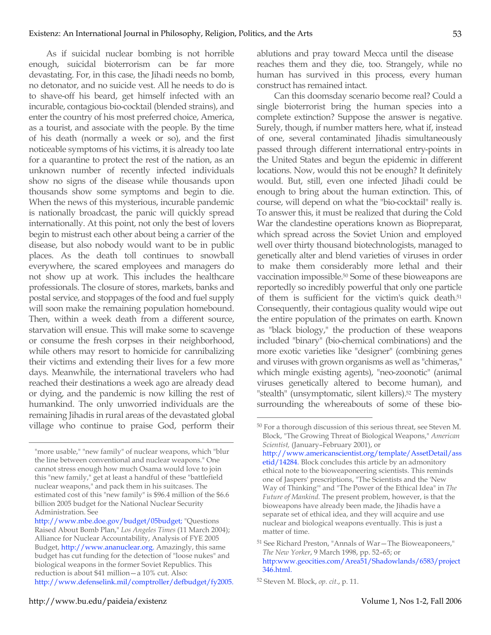As if suicidal nuclear bombing is not horrible enough, suicidal bioterrorism can be far more devastating. For, in this case, the Jihadi needs no bomb, no detonator, and no suicide vest. All he needs to do is to shave-off his beard, get himself infected with an incurable, contagious bio-cocktail (blended strains), and enter the country of his most preferred choice, America, as a tourist, and associate with the people. By the time of his death (normally a week or so), and the first noticeable symptoms of his victims, it is already too late for a quarantine to protect the rest of the nation, as an unknown number of recently infected individuals show no signs of the disease while thousands upon thousands show some symptoms and begin to die. When the news of this mysterious, incurable pandemic is nationally broadcast, the panic will quickly spread internationally. At this point, not only the best of lovers begin to mistrust each other about being a carrier of the disease, but also nobody would want to be in public places. As the death toll continues to snowball everywhere, the scared employees and managers do not show up at work. This includes the healthcare professionals. The closure of stores, markets, banks and postal service, and stoppages of the food and fuel supply will soon make the remaining population homebound. Then, within a week death from a different source, starvation will ensue. This will make some to scavenge or consume the fresh corpses in their neighborhood, while others may resort to homicide for cannibalizing their victims and extending their lives for a few more days. Meanwhile, the international travelers who had reached their destinations a week ago are already dead or dying, and the pandemic is now killing the rest of humankind. The only unworried individuals are the remaining Jihadis in rural areas of the devastated global village who continue to praise God, perform their ablutions and pray toward Mecca until the disease reaches them and they die, too. Strangely, while no human has survived in this process, every human construct has remained intact.

Can this doomsday scenario become real? Could a single bioterrorist bring the human species into a complete extinction? Suppose the answer is negative. Surely, though, if number matters here, what if, instead of one, several contaminated Jihadis simultaneously passed through different international entry-points in the United States and begun the epidemic in different locations. Now, would this not be enough? It definitely would. But, still, even one infected Jihadi could be enough to bring about the human extinction. This, of course, will depend on what the "bio-cocktail" really is. To answer this, it must be realized that during the Cold War the clandestine operations known as Biopreparat, which spread across the Soviet Union and employed well over thirty thousand biotechnologists, managed to genetically alter and blend varieties of viruses in order to make them considerably more lethal and their vaccination impossible.50 Some of these bioweapons are reportedly so incredibly powerful that only one particle of them is sufficient for the victim's quick death.<sup>51</sup> Consequently, their contagious quality would wipe out the entire population of the primates on earth. Known as "black biology," the production of these weapons included "binary" (bio-chemical combinations) and the more exotic varieties like "designer" (combining genes and viruses with grown organisms as well as "chimeras," which mingle existing agents), "neo-zoonotic" (animal viruses genetically altered to become human), and "stealth" (unsymptomatic, silent killers).<sup>52</sup> The mystery surrounding the whereabouts of some of these bio-

<sup>&</sup>quot;more usable," "new family" of nuclear weapons, which "blur the line between conventional and nuclear weapons." One cannot stress enough how much Osama would love to join this "new family," get at least a handful of these "battlefield nuclear weapons," and pack them in his suitcases. The estimated cost of this "new family" is \$96.4 million of the \$6.6 billion 2005 budget for the National Nuclear Security Administration. See

http://www.mbe.doe.gov/budget/05budget; "Questions Raised About Bomb Plan," *Los Angeles Times* (11 March 2004); Alliance for Nuclear Accountability, Analysis of FYE 2005 Budget, http://www.ananuclear.org. Amazingly, this same budget has cut funding for the detection of "loose nukes" and biological weapons in the former Soviet Republics. This reduction is about \$41 million—a 10% cut. Also: http://www.defenselink.mil/comptroller/defbudget/fy2005.

 <sup>50</sup> For a thorough discussion of this serious threat, see Steven M. Block, "The Growing Threat of Biological Weapons," *American Scientist,* (January–February 2001), or http://www.americanscientist.org/template/AssetDetail/ass etid/14284. Block concludes this article by an admonitory ethical note to the bioweaponeering scientists. This reminds one of Jaspers' prescriptions, "The Scientists and the 'New Way of Thinking'" and "The Power of the Ethical Idea" in *The Future of Mankind.* The present problem, however, is that the bioweapons have already been made, the Jihadis have a separate set of ethical idea, and they will acquire and use nuclear and biological weapons eventually. This is just a matter of time.

<sup>51</sup> See Richard Preston, "Annals of War—The Bioweaponeers," *The New Yorker*, 9 March 1998, pp. 52–65; or http:www.geocities.com/Area51/Shadowlands/6583/project 346.html.

<sup>52</sup> Steven M. Block, *op. cit*., p. 11.